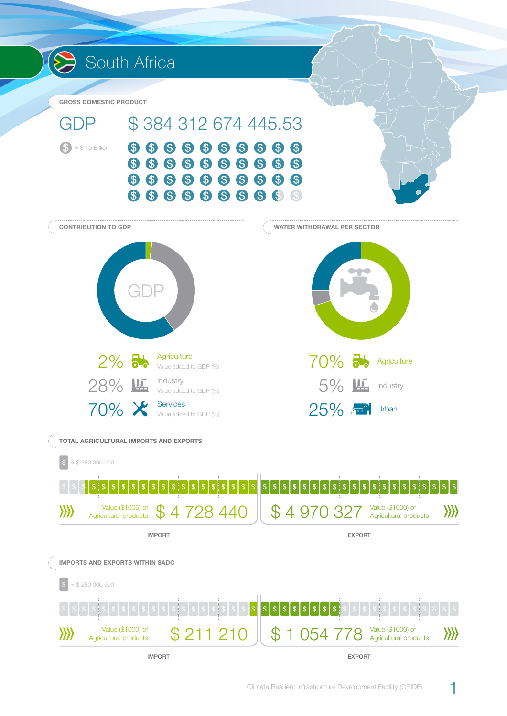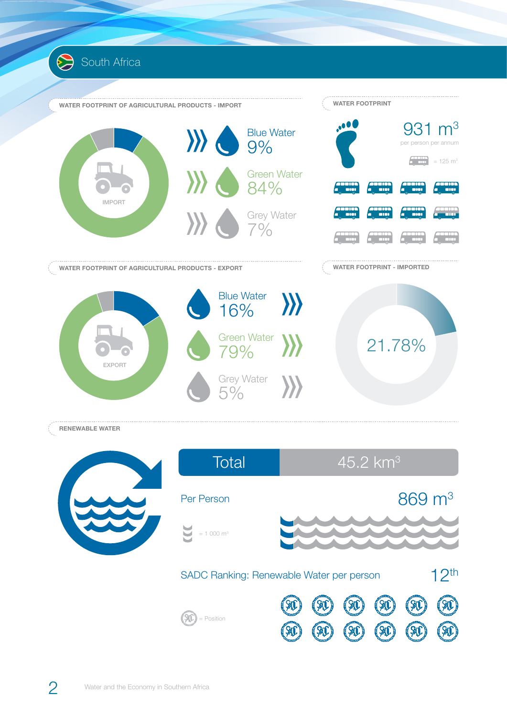

**RENEWABLE WATER**

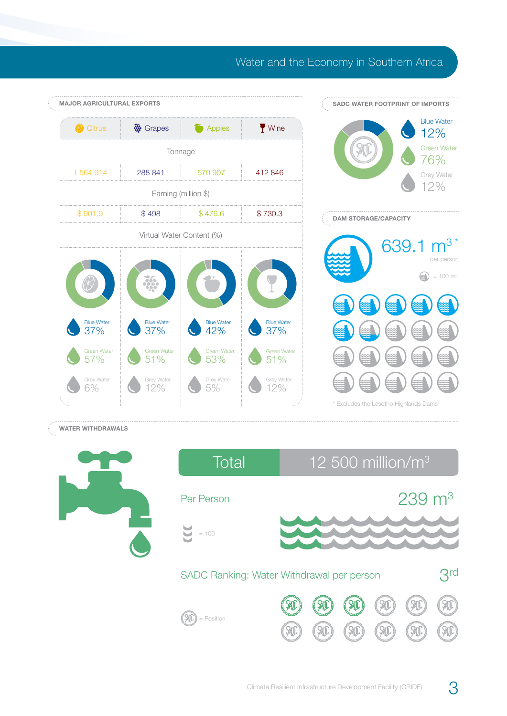## Water and the Economy in Southern Africa



## **WATER WITHDRAWALS**



| Total                                                        | 12 500 million/ $m3$ |  |  |  |                       |  |
|--------------------------------------------------------------|----------------------|--|--|--|-----------------------|--|
| Per Person                                                   |                      |  |  |  | $239 \; \mathrm{m}^3$ |  |
| $= 100$                                                      |                      |  |  |  |                       |  |
| 3 <sup>rd</sup><br>SADC Ranking: Water Withdrawal per person |                      |  |  |  |                       |  |
| Position                                                     |                      |  |  |  |                       |  |